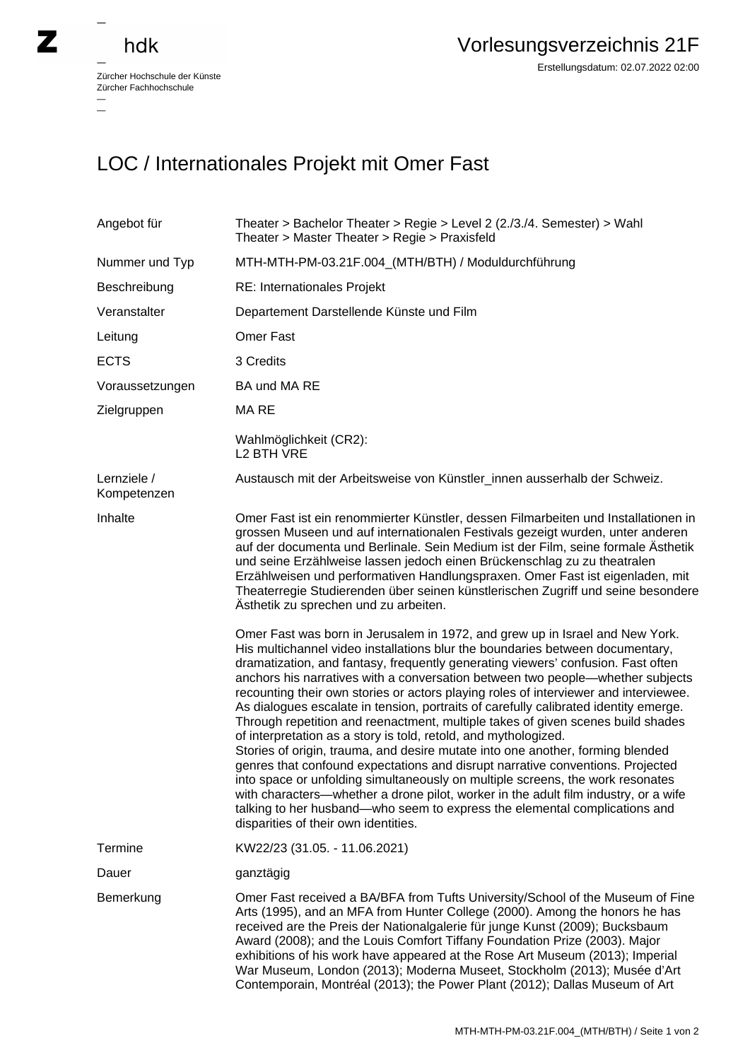## hdk

 $\overline{\phantom{a}}$ 

Zürcher Hochschule der Künste Zürcher Fachhochschule —

## LOC / Internationales Projekt mit Omer Fast

| Angebot für                | Theater > Bachelor Theater > Regie > Level 2 $(2.73.74.$ Semester) > Wahl<br>Theater > Master Theater > Regie > Praxisfeld                                                                                                                                                                                                                                                                                                                                                                                                                                                                                                                                                                                                                                                                                                                                                                                                                                                                                                                                                                                                                                                                                                                                                                                                                                                                                                                                                                                                                                                                                                                                                                          |
|----------------------------|-----------------------------------------------------------------------------------------------------------------------------------------------------------------------------------------------------------------------------------------------------------------------------------------------------------------------------------------------------------------------------------------------------------------------------------------------------------------------------------------------------------------------------------------------------------------------------------------------------------------------------------------------------------------------------------------------------------------------------------------------------------------------------------------------------------------------------------------------------------------------------------------------------------------------------------------------------------------------------------------------------------------------------------------------------------------------------------------------------------------------------------------------------------------------------------------------------------------------------------------------------------------------------------------------------------------------------------------------------------------------------------------------------------------------------------------------------------------------------------------------------------------------------------------------------------------------------------------------------------------------------------------------------------------------------------------------------|
| Nummer und Typ             | MTH-MTH-PM-03.21F.004_(MTH/BTH) / Moduldurchführung                                                                                                                                                                                                                                                                                                                                                                                                                                                                                                                                                                                                                                                                                                                                                                                                                                                                                                                                                                                                                                                                                                                                                                                                                                                                                                                                                                                                                                                                                                                                                                                                                                                 |
| Beschreibung               | RE: Internationales Projekt                                                                                                                                                                                                                                                                                                                                                                                                                                                                                                                                                                                                                                                                                                                                                                                                                                                                                                                                                                                                                                                                                                                                                                                                                                                                                                                                                                                                                                                                                                                                                                                                                                                                         |
| Veranstalter               | Departement Darstellende Künste und Film                                                                                                                                                                                                                                                                                                                                                                                                                                                                                                                                                                                                                                                                                                                                                                                                                                                                                                                                                                                                                                                                                                                                                                                                                                                                                                                                                                                                                                                                                                                                                                                                                                                            |
| Leitung                    | <b>Omer Fast</b>                                                                                                                                                                                                                                                                                                                                                                                                                                                                                                                                                                                                                                                                                                                                                                                                                                                                                                                                                                                                                                                                                                                                                                                                                                                                                                                                                                                                                                                                                                                                                                                                                                                                                    |
| <b>ECTS</b>                | 3 Credits                                                                                                                                                                                                                                                                                                                                                                                                                                                                                                                                                                                                                                                                                                                                                                                                                                                                                                                                                                                                                                                                                                                                                                                                                                                                                                                                                                                                                                                                                                                                                                                                                                                                                           |
| Voraussetzungen            | BA und MA RE                                                                                                                                                                                                                                                                                                                                                                                                                                                                                                                                                                                                                                                                                                                                                                                                                                                                                                                                                                                                                                                                                                                                                                                                                                                                                                                                                                                                                                                                                                                                                                                                                                                                                        |
| Zielgruppen                | MA RE                                                                                                                                                                                                                                                                                                                                                                                                                                                                                                                                                                                                                                                                                                                                                                                                                                                                                                                                                                                                                                                                                                                                                                                                                                                                                                                                                                                                                                                                                                                                                                                                                                                                                               |
|                            | Wahlmöglichkeit (CR2):<br>L <sub>2</sub> BTH VRE                                                                                                                                                                                                                                                                                                                                                                                                                                                                                                                                                                                                                                                                                                                                                                                                                                                                                                                                                                                                                                                                                                                                                                                                                                                                                                                                                                                                                                                                                                                                                                                                                                                    |
| Lernziele /<br>Kompetenzen | Austausch mit der Arbeitsweise von Künstler_innen ausserhalb der Schweiz.                                                                                                                                                                                                                                                                                                                                                                                                                                                                                                                                                                                                                                                                                                                                                                                                                                                                                                                                                                                                                                                                                                                                                                                                                                                                                                                                                                                                                                                                                                                                                                                                                           |
| Inhalte                    | Omer Fast ist ein renommierter Künstler, dessen Filmarbeiten und Installationen in<br>grossen Museen und auf internationalen Festivals gezeigt wurden, unter anderen<br>auf der documenta und Berlinale. Sein Medium ist der Film, seine formale Ästhetik<br>und seine Erzählweise lassen jedoch einen Brückenschlag zu zu theatralen<br>Erzählweisen und performativen Handlungspraxen. Omer Fast ist eigenladen, mit<br>Theaterregie Studierenden über seinen künstlerischen Zugriff und seine besondere<br>Ästhetik zu sprechen und zu arbeiten.<br>Omer Fast was born in Jerusalem in 1972, and grew up in Israel and New York.<br>His multichannel video installations blur the boundaries between documentary,<br>dramatization, and fantasy, frequently generating viewers' confusion. Fast often<br>anchors his narratives with a conversation between two people—whether subjects<br>recounting their own stories or actors playing roles of interviewer and interviewee.<br>As dialogues escalate in tension, portraits of carefully calibrated identity emerge.<br>Through repetition and reenactment, multiple takes of given scenes build shades<br>of interpretation as a story is told, retold, and mythologized.<br>Stories of origin, trauma, and desire mutate into one another, forming blended<br>genres that confound expectations and disrupt narrative conventions. Projected<br>into space or unfolding simultaneously on multiple screens, the work resonates<br>with characters—whether a drone pilot, worker in the adult film industry, or a wife<br>talking to her husband—who seem to express the elemental complications and<br>disparities of their own identities. |
| Termine                    | KW22/23 (31.05. - 11.06.2021)                                                                                                                                                                                                                                                                                                                                                                                                                                                                                                                                                                                                                                                                                                                                                                                                                                                                                                                                                                                                                                                                                                                                                                                                                                                                                                                                                                                                                                                                                                                                                                                                                                                                       |
| Dauer                      | ganztägig                                                                                                                                                                                                                                                                                                                                                                                                                                                                                                                                                                                                                                                                                                                                                                                                                                                                                                                                                                                                                                                                                                                                                                                                                                                                                                                                                                                                                                                                                                                                                                                                                                                                                           |
| Bemerkung                  | Omer Fast received a BA/BFA from Tufts University/School of the Museum of Fine<br>Arts (1995), and an MFA from Hunter College (2000). Among the honors he has<br>received are the Preis der Nationalgalerie für junge Kunst (2009); Bucksbaum<br>Award (2008); and the Louis Comfort Tiffany Foundation Prize (2003). Major<br>exhibitions of his work have appeared at the Rose Art Museum (2013); Imperial<br>War Museum, London (2013); Moderna Museet, Stockholm (2013); Musée d'Art<br>Contemporain, Montréal (2013); the Power Plant (2012); Dallas Museum of Art                                                                                                                                                                                                                                                                                                                                                                                                                                                                                                                                                                                                                                                                                                                                                                                                                                                                                                                                                                                                                                                                                                                             |